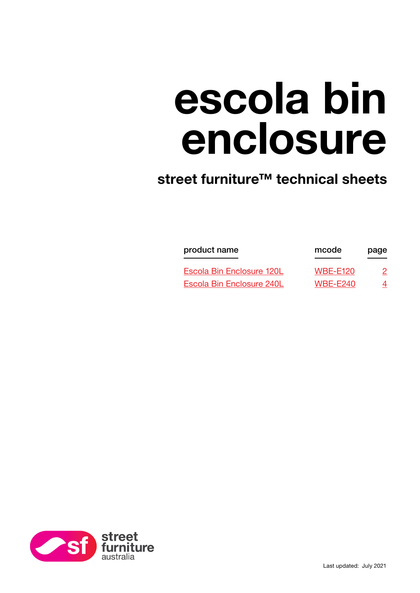# escola bin enclosure

## street furniture<sup>™</sup> technical sheets

| product name<br>Escola Bin Enclosure 120L | mcode<br><b>WBE-E120</b> | page<br>2 |
|-------------------------------------------|--------------------------|-----------|
|                                           |                          |           |

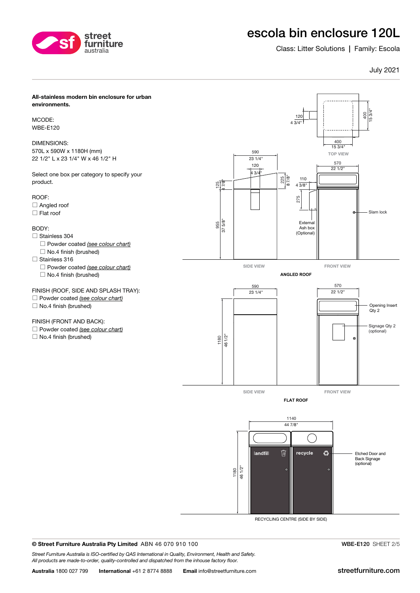<span id="page-1-0"></span>

## escola bin enclosure 120L

Class: Litter Solutions | Family: Escola

#### July 2021



RECYCLING CENTRE (SIDE BY SIDE)

© Street Furniture Australia Pty Limited ABN 46 070 910 100

*Street Furniture Australia is ISO-certified by QAS International in Quality, Environment, Health and Safety. All products are made-to-order, quality-controlled and dispatched from the inhouse factory floor.*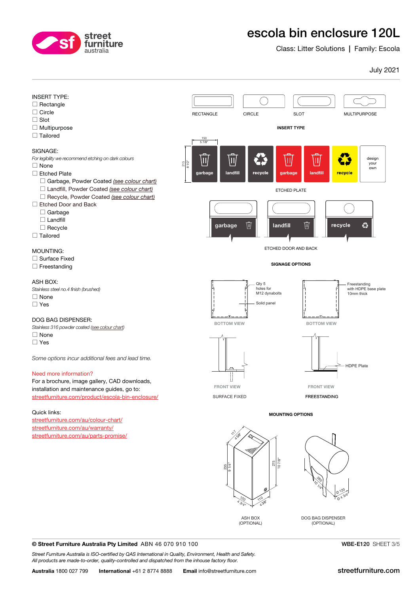<span id="page-2-0"></span>

## escola bin enclosure 120L

Class: Litter Solutions | Family: Escola

#### July 2021



#### © Street Furniture Australia Pty Limited ABN 46 070 910 100

*Street Furniture Australia is ISO-certified by QAS International in Quality, Environment, Health and Safety. All products are made-to-order, quality-controlled and dispatched from the inhouse factory floor.*

WBE-E120 SHEET 3/5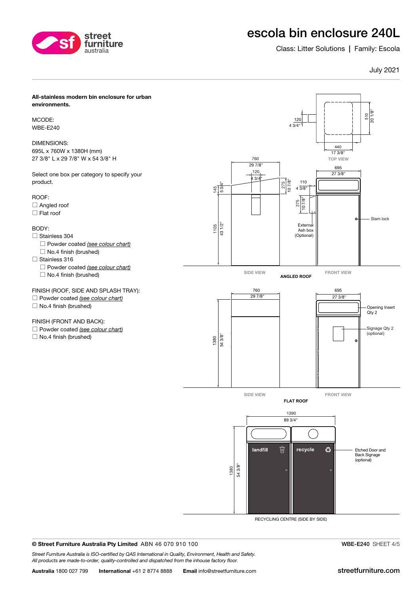

## escola bin enclosure 240L

Class: Litter Solutions | Family: Escola

#### July 2021



MCODE: WBE-E240

DIMENSIONS: 695L x 760W x 1380H (mm) 27 3/8" L x 29 7/8" W x 54 3/8" H

Select one box per category to specify your product.

#### ROOF:

- □ Angled roof
- $\Box$  Flat roof

#### BODY:

- Stainless 304 Powder coated *[\(see colour chart\)](https://streetfurniture.com/colour-chart/)*
	- $\Box$  No.4 finish (brushed)
- Stainless 316
	- Powder coated *[\(see colour chart\)](https://streetfurniture.com/colour-chart/)*  $\Box$  No.4 finish (brushed)

#### FINISH (ROOF, SIDE AND SPLASH TRAY):

- Powder coated *[\(see colour chart\)](https://streetfurniture.com/colour-chart/)*
- $\Box$  No.4 finish (brushed)

#### FINISH (FRONT AND BACK):

Powder coated *[\(see colour chart\)](https://streetfurniture.com/colour-chart/)*

 $\Box$  No.4 finish (brushed)



RECYCLING CENTRE (SIDE BY SIDE)

© Street Furniture Australia Pty Limited ABN 46 070 910 100

*Street Furniture Australia is ISO-certified by QAS International in Quality, Environment, Health and Safety. All products are made-to-order, quality-controlled and dispatched from the inhouse factory floor.*